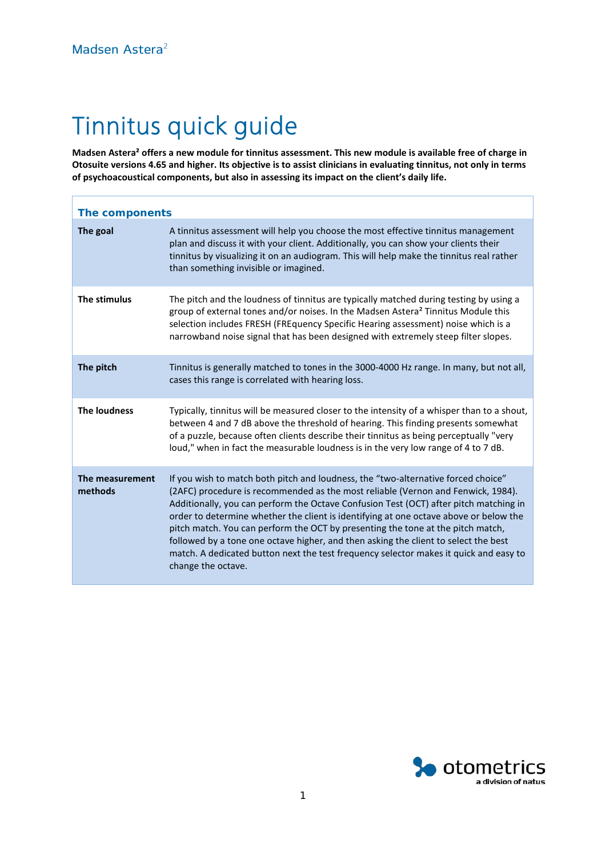# Tinnitus quick guide

**Madsen Astera² offers a new module for tinnitus assessment. This new module is available free of charge in Otosuite versions 4.65 and higher. Its objective is to assist clinicians in evaluating tinnitus, not only in terms of psychoacoustical components, but also in assessing its impact on the client's daily life.**

| The components             |                                                                                                                                                                                                                                                                                                                                                                                                                                                                                                                                                                                                                                                  |  |  |  |
|----------------------------|--------------------------------------------------------------------------------------------------------------------------------------------------------------------------------------------------------------------------------------------------------------------------------------------------------------------------------------------------------------------------------------------------------------------------------------------------------------------------------------------------------------------------------------------------------------------------------------------------------------------------------------------------|--|--|--|
| The goal                   | A tinnitus assessment will help you choose the most effective tinnitus management<br>plan and discuss it with your client. Additionally, you can show your clients their<br>tinnitus by visualizing it on an audiogram. This will help make the tinnitus real rather<br>than something invisible or imagined.                                                                                                                                                                                                                                                                                                                                    |  |  |  |
| The stimulus               | The pitch and the loudness of tinnitus are typically matched during testing by using a<br>group of external tones and/or noises. In the Madsen Astera <sup>2</sup> Tinnitus Module this<br>selection includes FRESH (FREquency Specific Hearing assessment) noise which is a<br>narrowband noise signal that has been designed with extremely steep filter slopes.                                                                                                                                                                                                                                                                               |  |  |  |
| The pitch                  | Tinnitus is generally matched to tones in the 3000-4000 Hz range. In many, but not all,<br>cases this range is correlated with hearing loss.                                                                                                                                                                                                                                                                                                                                                                                                                                                                                                     |  |  |  |
| <b>The loudness</b>        | Typically, tinnitus will be measured closer to the intensity of a whisper than to a shout,<br>between 4 and 7 dB above the threshold of hearing. This finding presents somewhat<br>of a puzzle, because often clients describe their tinnitus as being perceptually "very<br>loud," when in fact the measurable loudness is in the very low range of 4 to 7 dB.                                                                                                                                                                                                                                                                                  |  |  |  |
| The measurement<br>methods | If you wish to match both pitch and loudness, the "two-alternative forced choice"<br>(2AFC) procedure is recommended as the most reliable (Vernon and Fenwick, 1984).<br>Additionally, you can perform the Octave Confusion Test (OCT) after pitch matching in<br>order to determine whether the client is identifying at one octave above or below the<br>pitch match. You can perform the OCT by presenting the tone at the pitch match,<br>followed by a tone one octave higher, and then asking the client to select the best<br>match. A dedicated button next the test frequency selector makes it quick and easy to<br>change the octave. |  |  |  |

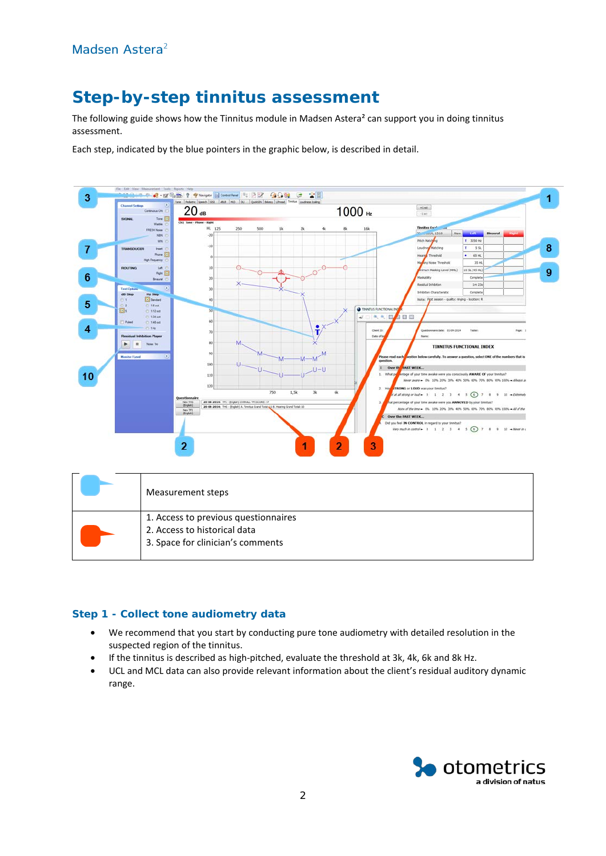# **Step-by-step tinnitus assessment**

The following guide shows how the Tinnitus module in Madsen Astera<sup>2</sup> can support you in doing tinnitus assessment.

Each step, indicated by the blue pointers in the graphic below, is described in detail.



| 1. Access to previous questionnaires<br>2. Access to historical data<br>3. Space for clinician's comments |
|-----------------------------------------------------------------------------------------------------------|
|                                                                                                           |

### **Step 1 - Collect tone audiometry data**

- We recommend that you start by conducting pure tone audiometry with detailed resolution in the suspected region of the tinnitus.
- If the tinnitus is described as high-pitched, evaluate the threshold at 3k, 4k, 6k and 8k Hz.
- UCL and MCL data can also provide relevant information about the client's residual auditory dynamic range.

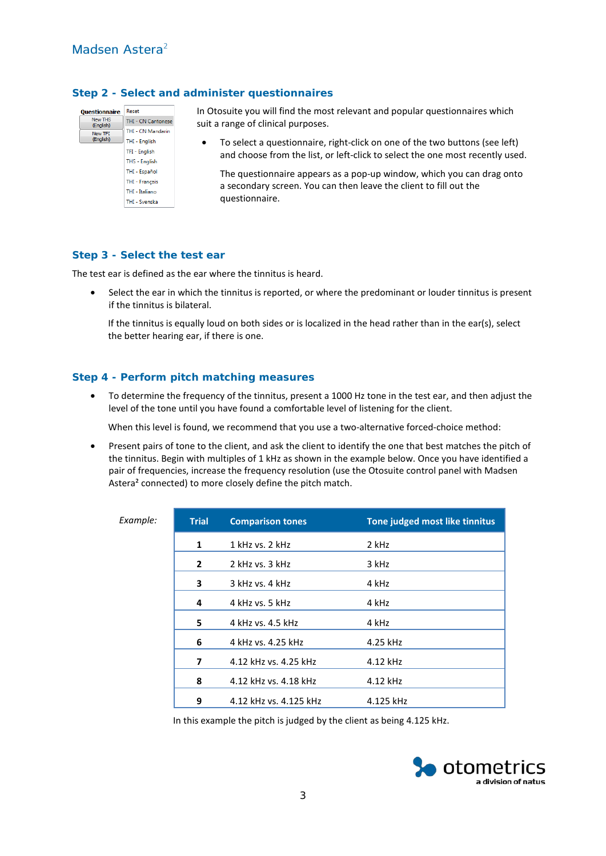#### **Step 2 - Select and administer questionnaires**

| <b>Ouestionnaire</b>        | Reset                     |
|-----------------------------|---------------------------|
| <b>New THS</b><br>(English) | <b>THI - CN Cantonese</b> |
| New TFI                     | THI - CN Mandarin         |
| (English)                   | THI - English             |
|                             | TFI - English             |
|                             | <b>THS - English</b>      |
|                             | THI - Español             |
|                             | <b>THI - Français</b>     |
|                             | THI - Italiano            |
|                             | <b>THI - Svenska</b>      |
|                             |                           |

In Otosuite you will find the most relevant and popular questionnaires which suit a range of clinical purposes.

• To select a questionnaire, right-click on one of the two buttons (see left) and choose from the list, or left-click to select the one most recently used.

The questionnaire appears as a pop-up window, which you can drag onto a secondary screen. You can then leave the client to fill out the questionnaire.

#### **Step 3 - Select the test ear**

The test ear is defined as the ear where the tinnitus is heard.

• Select the ear in which the tinnitus is reported, or where the predominant or louder tinnitus is present if the tinnitus is bilateral.

If the tinnitus is equally loud on both sides or is localized in the head rather than in the ear(s), select the better hearing ear, if there is one.

## **Step 4 - Perform pitch matching measures**

• To determine the frequency of the tinnitus, present a 1000 Hz tone in the test ear, and then adjust the level of the tone until you have found a comfortable level of listening for the client.

When this level is found, we recommend that you use a two-alternative forced-choice method:

• Present pairs of tone to the client, and ask the client to identify the one that best matches the pitch of the tinnitus. Begin with multiples of 1 kHz as shown in the example below. Once you have identified a pair of frequencies, increase the frequency resolution (use the Otosuite control panel with Madsen Astera² connected) to more closely define the pitch match.

| Example: | <b>Trial</b>   | <b>Comparison tones</b> | Tone judged most like tinnitus |
|----------|----------------|-------------------------|--------------------------------|
|          | 1              | 1 kHz vs. 2 kHz         | 2 kHz                          |
|          | $\overline{2}$ | 2 kHz vs. 3 kHz         | 3 kHz                          |
|          | 3              | 3 kHz vs. 4 kHz         | 4 kHz                          |
|          | 4              | 4 kHz vs. 5 kHz         | 4 kHz                          |
|          | 5              | 4 kHz vs. 4.5 kHz       | 4 kHz                          |
|          | 6              | 4 kHz vs. 4.25 kHz      | 4.25 kHz                       |
|          | 7              | 4.12 kHz vs. 4.25 kHz   | 4.12 kHz                       |
|          | 8              | 4.12 kHz vs. 4.18 kHz   | 4.12 kHz                       |
|          | 9              | 4.12 kHz vs. 4.125 kHz  | 4.125 kHz                      |

In this example the pitch is judged by the client as being 4.125 kHz.

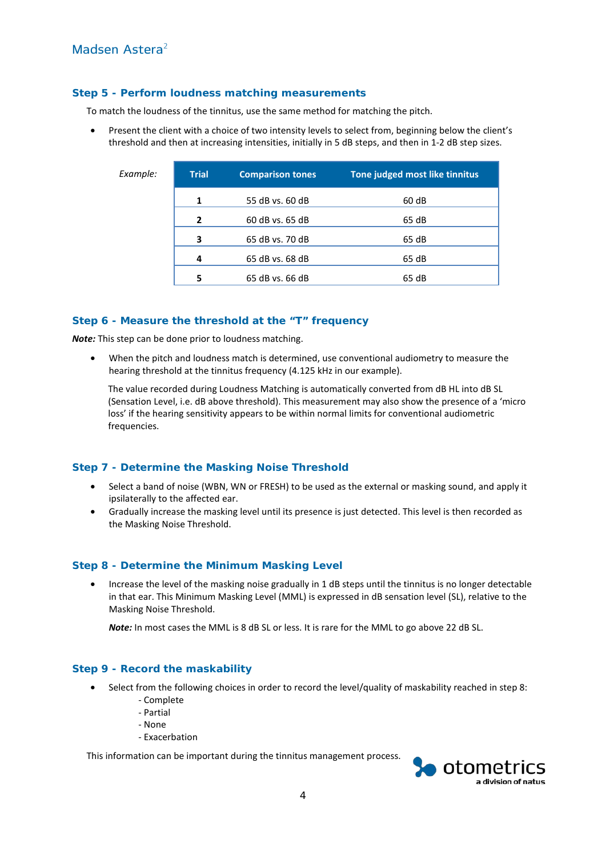# Madsen Astera²

#### **Step 5 - Perform loudness matching measurements**

To match the loudness of the tinnitus, use the same method for matching the pitch.

• Present the client with a choice of two intensity levels to select from, beginning below the client's threshold and then at increasing intensities, initially in 5 dB steps, and then in 1-2 dB step sizes.

| Example: | <b>Trial</b>             | <b>Comparison tones</b> | Tone judged most like tinnitus |
|----------|--------------------------|-------------------------|--------------------------------|
|          | 1                        | 55 dB vs. 60 dB         | 60 dB                          |
|          | $\overline{\phantom{a}}$ | 60 dB vs. 65 dB         | 65 dB                          |
|          | 3                        | 65 dB vs. 70 dB         | 65 dB                          |
|          | 4                        | 65 dB vs. 68 dB         | 65 dB                          |
|          | 5                        | 65 dB vs. 66 dB         | 65 dB                          |

#### **Step 6 - Measure the threshold at the "T" frequency**

*Note:* This step can be done prior to loudness matching.

• When the pitch and loudness match is determined, use conventional audiometry to measure the hearing threshold at the tinnitus frequency (4.125 kHz in our example).

The value recorded during Loudness Matching is automatically converted from dB HL into dB SL (Sensation Level, i.e. dB above threshold). This measurement may also show the presence of a 'micro loss' if the hearing sensitivity appears to be within normal limits for conventional audiometric frequencies.

#### **Step 7 - Determine the Masking Noise Threshold**

- Select a band of noise (WBN, WN or FRESH) to be used as the external or masking sound, and apply it ipsilaterally to the affected ear.
- Gradually increase the masking level until its presence is just detected. This level is then recorded as the Masking Noise Threshold.

#### **Step 8 - Determine the Minimum Masking Level**

• Increase the level of the masking noise gradually in 1 dB steps until the tinnitus is no longer detectable in that ear. This Minimum Masking Level (MML) is expressed in dB sensation level (SL), relative to the Masking Noise Threshold.

*Note:* In most cases the MML is 8 dB SL or less. It is rare for the MML to go above 22 dB SL.

#### **Step 9 - Record the maskability**

- Select from the following choices in order to record the level/quality of maskability reached in step 8:
	- Complete
	- Partial
	- None
	- Exacerbation

This information can be important during the tinnitus management process.